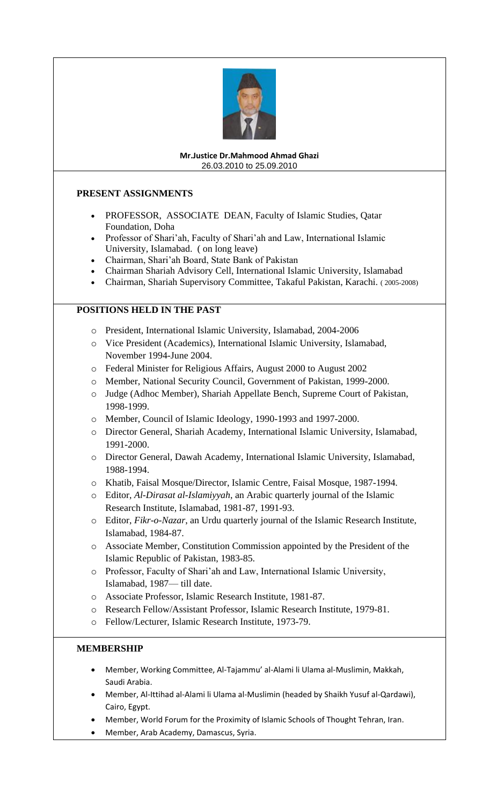

#### **Mr.Justice Dr.Mahmood Ahmad Ghazi** 26.03.2010 to 25.09.2010

# **PRESENT ASSIGNMENTS**

- PROFESSOR, ASSOCIATE DEAN, Faculty of Islamic Studies, Qatar Foundation, Doha
- Professor of Shari'ah, Faculty of Shari'ah and Law, International Islamic University, Islamabad. ( on long leave)
- Chairman, Shari'ah Board, State Bank of Pakistan
- Chairman Shariah Advisory Cell, International Islamic University, Islamabad
- Chairman, Shariah Supervisory Committee, Takaful Pakistan, Karachi. ( 2005-2008)

## **POSITIONS HELD IN THE PAST**

- o President, International Islamic University, Islamabad, 2004-2006
- o Vice President (Academics), International Islamic University, Islamabad, November 1994-June 2004.
- o Federal Minister for Religious Affairs, August 2000 to August 2002
- o Member, National Security Council, Government of Pakistan, 1999-2000.
- o Judge (Adhoc Member), Shariah Appellate Bench, Supreme Court of Pakistan, 1998-1999.
- o Member, Council of Islamic Ideology, 1990-1993 and 1997-2000.
- o Director General, Shariah Academy, International Islamic University, Islamabad, 1991-2000.
- o Director General, Dawah Academy, International Islamic University, Islamabad, 1988-1994.
- o Khatib, Faisal Mosque/Director, Islamic Centre, Faisal Mosque, 1987-1994.
- o Editor, *Al-Dirasat al-Islamiyyah*, an Arabic quarterly journal of the Islamic Research Institute, Islamabad, 1981-87, 1991-93.
- o Editor, *Fikr-o-Nazar*, an Urdu quarterly journal of the Islamic Research Institute, Islamabad, 1984-87.
- o Associate Member, Constitution Commission appointed by the President of the Islamic Republic of Pakistan, 1983-85.
- o Professor, Faculty of Shari'ah and Law, International Islamic University, Islamabad, 1987— till date.
- o Associate Professor, Islamic Research Institute, 1981-87.
- o Research Fellow/Assistant Professor, Islamic Research Institute, 1979-81.
- o Fellow/Lecturer, Islamic Research Institute, 1973-79.

## **MEMBERSHIP**

- Member, Working Committee, Al-Tajammu' al-Alami li Ulama al-Muslimin, Makkah, Saudi Arabia.
- Member, Al-Ittihad al-Alami li Ulama al-Muslimin (headed by Shaikh Yusuf al-Qardawi), Cairo, Egypt.
- Member, World Forum for the Proximity of Islamic Schools of Thought Tehran, Iran.
- Member, Arab Academy, Damascus, Syria.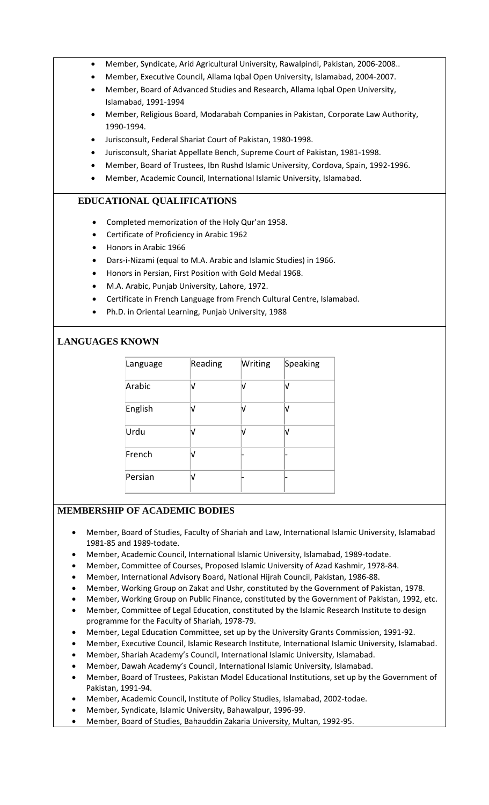- Member, Syndicate, Arid Agricultural University, Rawalpindi, Pakistan, 2006-2008..
- Member, Executive Council, Allama Iqbal Open University, Islamabad, 2004-2007.
- Member, Board of Advanced Studies and Research, Allama Iqbal Open University, Islamabad, 1991-1994
- Member, Religious Board, Modarabah Companies in Pakistan, Corporate Law Authority, 1990-1994.
- Jurisconsult, Federal Shariat Court of Pakistan, 1980-1998.
- Jurisconsult, Shariat Appellate Bench, Supreme Court of Pakistan, 1981-1998.
- Member, Board of Trustees, Ibn Rushd Islamic University, Cordova, Spain, 1992-1996.
- Member, Academic Council, International Islamic University, Islamabad.

# **EDUCATIONAL QUALIFICATIONS**

- Completed memorization of the Holy Qur'an 1958.
- Certificate of Proficiency in Arabic 1962
- Honors in Arabic 1966
- Dars-i-Nizami (equal to M.A. Arabic and Islamic Studies) in 1966.
- Honors in Persian, First Position with Gold Medal 1968.
- M.A. Arabic, Punjab University, Lahore, 1972.
- Certificate in French Language from French Cultural Centre, Islamabad.
- Ph.D. in Oriental Learning, Punjab University, 1988

## **LANGUAGES KNOWN**

| Language | Reading | Writing | Speaking |
|----------|---------|---------|----------|
| Arabic   |         | N       |          |
| English  |         | N       |          |
| Urdu     |         |         |          |
| French   |         |         |          |
| Persian  |         |         |          |

## **MEMBERSHIP OF ACADEMIC BODIES**

- Member, Board of Studies, Faculty of Shariah and Law, International Islamic University, Islamabad 1981-85 and 1989-todate.
- Member, Academic Council, International Islamic University, Islamabad, 1989-todate.
- Member, Committee of Courses, Proposed Islamic University of Azad Kashmir, 1978-84.
- Member, International Advisory Board, National Hijrah Council, Pakistan, 1986-88.
- Member, Working Group on Zakat and Ushr, constituted by the Government of Pakistan, 1978.
- Member, Working Group on Public Finance, constituted by the Government of Pakistan, 1992, etc.
- Member, Committee of Legal Education, constituted by the Islamic Research Institute to design programme for the Faculty of Shariah, 1978-79.
- Member, Legal Education Committee, set up by the University Grants Commission, 1991-92.
- Member, Executive Council, Islamic Research Institute, International Islamic University, Islamabad.
- Member, Shariah Academy's Council, International Islamic University, Islamabad.
- Member, Dawah Academy's Council, International Islamic University, Islamabad.
- Member, Board of Trustees, Pakistan Model Educational Institutions, set up by the Government of Pakistan, 1991-94.
- Member, Academic Council, Institute of Policy Studies, Islamabad, 2002-todae.
- Member, Syndicate, Islamic University, Bahawalpur, 1996-99.
- Member, Board of Studies, Bahauddin Zakaria University, Multan, 1992-95.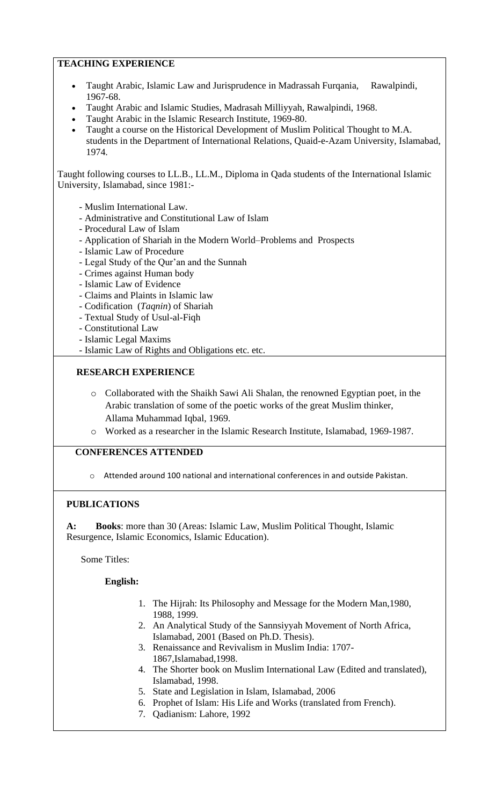# **TEACHING EXPERIENCE**

- Taught Arabic, Islamic Law and Jurisprudence in Madrassah Furqania, Rawalpindi, 1967-68.
- Taught Arabic and Islamic Studies, Madrasah Milliyyah, Rawalpindi, 1968.
- Taught Arabic in the Islamic Research Institute, 1969-80.
- Taught a course on the Historical Development of Muslim Political Thought to M.A. students in the Department of International Relations, Quaid-e-Azam University, Islamabad, 1974.

Taught following courses to LL.B., LL.M., Diploma in Qada students of the International Islamic University, Islamabad, since 1981:-

- Muslim International Law.
- Administrative and Constitutional Law of Islam
- Procedural Law of Islam
- Application of Shariah in the Modern World–Problems and Prospects
- Islamic Law of Procedure
- Legal Study of the Qur'an and the Sunnah
- Crimes against Human body
- Islamic Law of Evidence
- Claims and Plaints in Islamic law
- Codification (*Taqnin*) of Shariah
- Textual Study of Usul-al-Fiqh
- Constitutional Law
- Islamic Legal Maxims
- Islamic Law of Rights and Obligations etc. etc.

## **RESEARCH EXPERIENCE**

- o Collaborated with the Shaikh Sawi Ali Shalan, the renowned Egyptian poet, in the Arabic translation of some of the poetic works of the great Muslim thinker, Allama Muhammad Iqbal, 1969.
- o Worked as a researcher in the Islamic Research Institute, Islamabad, 1969-1987.

# **CONFERENCES ATTENDED**

 $\circ$  Attended around 100 national and international conferences in and outside Pakistan.

# **PUBLICATIONS**

**A: Books**: more than 30 (Areas: Islamic Law, Muslim Political Thought, Islamic Resurgence, Islamic Economics, Islamic Education).

Some Titles:

## **English:**

- 1. The Hijrah: Its Philosophy and Message for the Modern Man,1980, 1988, 1999.
- 2. An Analytical Study of the Sannsiyyah Movement of North Africa, Islamabad, 2001 (Based on Ph.D. Thesis).
- 3. Renaissance and Revivalism in Muslim India: 1707- 1867,Islamabad,1998.
- 4. The Shorter book on Muslim International Law (Edited and translated), Islamabad, 1998.
- 5. State and Legislation in Islam, Islamabad, 2006
- 6. Prophet of Islam: His Life and Works (translated from French).
- 7. Qadianism: Lahore, 1992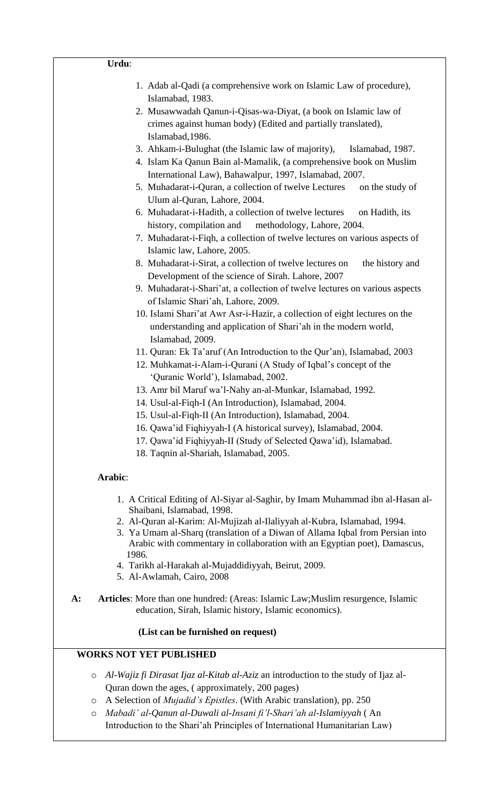| 1. Adab al-Qadi (a comprehensive work on Islamic Law of procedure),<br>Islamabad, 1983.                  |
|----------------------------------------------------------------------------------------------------------|
| 2. Musawwadah Qanun-i-Qisas-wa-Diyat, (a book on Islamic law of                                          |
| crimes against human body) (Edited and partially translated),                                            |
| Islamabad, 1986.                                                                                         |
| 3. Ahkam-i-Bulughat (the Islamic law of majority),<br>Islamabad, 1987.                                   |
| 4. Islam Ka Qanun Bain al-Mamalik, (a comprehensive book on Muslim                                       |
| International Law), Bahawalpur, 1997, Islamabad, 2007.                                                   |
| 5. Muhadarat-i-Quran, a collection of twelve Lectures<br>on the study of<br>Ulum al-Quran, Lahore, 2004. |
| 6. Muhadarat-i-Hadith, a collection of twelve lectures<br>on Hadith, its                                 |
| history, compilation and<br>methodology, Lahore, 2004.                                                   |
| 7. Muhadarat-i-Fiqh, a collection of twelve lectures on various aspects of                               |
| Islamic law, Lahore, 2005.                                                                               |
| 8. Muhadarat-i-Sirat, a collection of twelve lectures on<br>the history and                              |
| Development of the science of Sirah. Lahore, 2007                                                        |
| 9. Muhadarat-i-Shari'at, a collection of twelve lectures on various aspects                              |
| of Islamic Shari'ah, Lahore, 2009.                                                                       |
| 10. Islami Shari'at Awr Asr-i-Hazir, a collection of eight lectures on the                               |
| understanding and application of Shari'ah in the modern world,                                           |
| Islamabad, 2009.                                                                                         |
| 11. Quran: Ek Ta'aruf (An Introduction to the Qur'an), Islamabad, 2003                                   |
| 12. Muhkamat-i-Alam-i-Qurani (A Study of Iqbal's concept of the                                          |
| 'Quranic World'), Islamabad, 2002.                                                                       |
| 13. Amr bil Maruf wa'l-Nahy an-al-Munkar, Islamabad, 1992.                                               |
| 14. Usul-al-Fiqh-I (An Introduction), Islamabad, 2004.                                                   |
| 15. Usul-al-Fiqh-II (An Introduction), Islamabad, 2004.                                                  |
| 16. Qawa'id Fiqhiyyah-I (A historical survey), Islamabad, 2004.                                          |
| 17. Qawa'id Fiqhiyyah-II (Study of Selected Qawa'id), Islamabad.                                         |
| 18. Taqnin al-Shariah, Islamabad, 2005.                                                                  |
|                                                                                                          |
| Arabic:                                                                                                  |
| 1. A Critical Editing of Al-Siyar al-Saghir, by Imam Muhammad ibn al-Hasan al-                           |
| Shaibani, Islamabad, 1998.                                                                               |
| 2. Al-Quran al-Karim: Al-Mujizah al-Ilaliyyah al-Kubra, Islamabad, 1994.                                 |
| 3. Ya Umam al-Sharq (translation of a Diwan of Allama Iqbal from Persian into                            |
| Arabic with commentary in collaboration with an Egyptian poet), Damascus,<br>1986.                       |
| 4. Tarikh al-Harakah al-Mujaddidiyyah, Beirut, 2009.                                                     |
| 5. Al-Awlamah, Cairo, 2008                                                                               |
| Articles: More than one hundred: (Areas: Islamic Law; Muslim resurgence, Islamic<br>$A$ :                |
| education, Sirah, Islamic history, Islamic economics).                                                   |
| (List can be furnished on request)                                                                       |
| <b>WORKS NOT YET PUBLISHED</b>                                                                           |

- o *Al-Wajiz fi Dirasat Ijaz al-Kitab al-Aziz* an introduction to the study of Ijaz al-Quran down the ages, ( approximately, 200 pages)
- o A Selection of *Mujadid's Epistles*. (With Arabic translation), pp. 250
- o *Mabadi' al-Qanun al-Duwali al-Insani fi'l-Shari'ah al-Islamiyyah* ( An Introduction to the Shari'ah Principles of International Humanitarian Law)